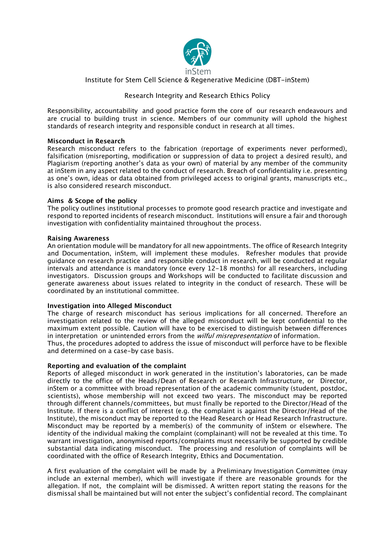

# Institute for Stem Cell Science & Regenerative Medicine (DBT-inStem)

## Research Integrity and Research Ethics Policy

Responsibility, accountability and good practice form the core of our research endeavours and are crucial to building trust in science. Members of our community will uphold the highest standards of research integrity and responsible conduct in research at all times.

#### **Misconduct in Research**

Research misconduct refers to the fabrication (reportage of experiments never performed), falsification (misreporting, modification or suppression of data to project a desired result), and Plagiarism (reporting another's data as your own) of material by any member of the community at inStem in any aspect related to the conduct of research. Breach of confidentiality i.e. presenting as one's own, ideas or data obtained from privileged access to original grants, manuscripts etc., is also considered research misconduct.

#### **Aims & Scope of the policy**

The policy outlines institutional processes to promote good research practice and investigate and respond to reported incidents of research misconduct. Institutions will ensure a fair and thorough investigation with confidentiality maintained throughout the process.

#### **Raising Awareness**

An orientation module will be mandatory for all new appointments. The office of Research Integrity and Documentation, inStem, will implement these modules. Refresher modules that provide guidance on research practice and responsible conduct in research, will be conducted at regular intervals and attendance is mandatory (once every 12-18 months) for all researchers, including investigators. Discussion groups and Workshops will be conducted to facilitate discussion and generate awareness about issues related to integrity in the conduct of research. These will be coordinated by an institutional committee.

#### **Investigation into Alleged Misconduct**

The charge of research misconduct has serious implications for all concerned. Therefore an investigation related to the review of the alleged misconduct will be kept confidential to the maximum extent possible. Caution will have to be exercised to distinguish between differences in interpretation or unintended errors from the *wilful misrepresentation* of information.

Thus, the procedures adopted to address the issue of misconduct will perforce have to be flexible and determined on a case-by case basis.

## **Reporting and evaluation of the complaint**

Reports of alleged misconduct in work generated in the institution's laboratories, can be made directly to the office of the Heads/Dean of Research or Research Infrastructure, or Director, inStem or a committee with broad representation of the academic community (student, postdoc, scientists), whose membership will not exceed two years. The misconduct may be reported through different channels/committees, but must finally be reported to the Director/Head of the Institute. If there is a conflict of interest (e.g. the complaint is against the Director/Head of the Institute), the misconduct may be reported to the Head Research or Head Research Infrastructure. Misconduct may be reported by a member(s) of the community of inStem or elsewhere. The identity of the individual making the complaint (complainant) will not be revealed at this time. To warrant investigation, anonymised reports/complaints must necessarily be supported by credible substantial data indicating misconduct. The processing and resolution of complaints will be coordinated with the office of Research Integrity, Ethics and Documentation.

A first evaluation of the complaint will be made by a Preliminary Investigation Committee (may include an external member), which will investigate if there are reasonable grounds for the allegation. If not, the complaint will be dismissed. A written report stating the reasons for the dismissal shall be maintained but will not enter the subject's confidential record. The complainant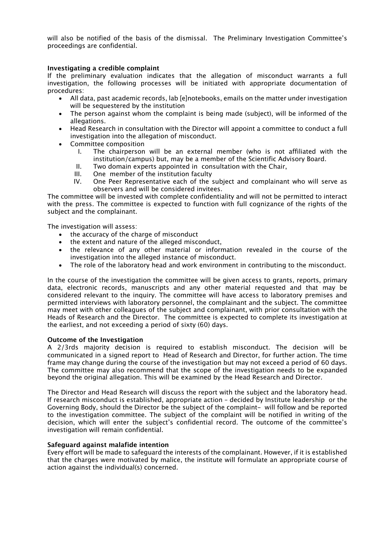will also be notified of the basis of the dismissal. The Preliminary Investigation Committee's proceedings are confidential.

## **Investigating a credible complaint**

If the preliminary evaluation indicates that the allegation of misconduct warrants a full investigation, the following processes will be initiated with appropriate documentation of procedures:

- All data, past academic records, lab [e]notebooks, emails on the matter under investigation will be sequestered by the institution
- The person against whom the complaint is being made (subject), will be informed of the allegations.
- Head Research in consultation with the Director will appoint a committee to conduct a full investigation into the allegation of misconduct.
- Committee composition
	- I. The chairperson will be an external member (who is not affiliated with the institution/campus) but, may be a member of the Scientific Advisory Board.
	- II. Two domain experts appointed in consultation with the Chair,
	- III. One member of the institution faculty
	- IV. One Peer Representative each of the subject and complainant who will serve as observers and will be considered invitees.

The committee will be invested with complete confidentiality and will not be permitted to interact with the press. The committee is expected to function with full cognizance of the rights of the subject and the complainant.

The investigation will assess:

- the accuracy of the charge of misconduct
- the extent and nature of the alleged misconduct,
- the relevance of any other material or information revealed in the course of the investigation into the alleged instance of misconduct.
- The role of the laboratory head and work environment in contributing to the misconduct.

In the course of the investigation the committee will be given access to grants, reports, primary data, electronic records, manuscripts and any other material requested and that may be considered relevant to the inquiry. The committee will have access to laboratory premises and permitted interviews with laboratory personnel, the complainant and the subject. The committee may meet with other colleagues of the subject and complainant, with prior consultation with the Heads of Research and the Director. The committee is expected to complete its investigation at the earliest, and not exceeding a period of sixty (60) days.

## **Outcome of the Investigation**

A 2/3rds majority decision is required to establish misconduct. The decision will be communicated in a signed report to Head of Research and Director, for further action. The time frame may change during the course of the investigation but may not exceed a period of 60 days. The committee may also recommend that the scope of the investigation needs to be expanded beyond the original allegation. This will be examined by the Head Research and Director.

The Director and Head Research will discuss the report with the subject and the laboratory head. If research misconduct is established, appropriate action – decided by Institute leadership or the Governing Body, should the Director be the subject of the complaint- will follow and be reported to the investigation committee. The subject of the complaint will be notified in writing of the decision, which will enter the subject's confidential record. The outcome of the committee's investigation will remain confidential.

## **Safeguard against malafide intention**

Every effort will be made to safeguard the interests of the complainant. However, if it is established that the charges were motivated by malice, the institute will formulate an appropriate course of action against the individual(s) concerned.